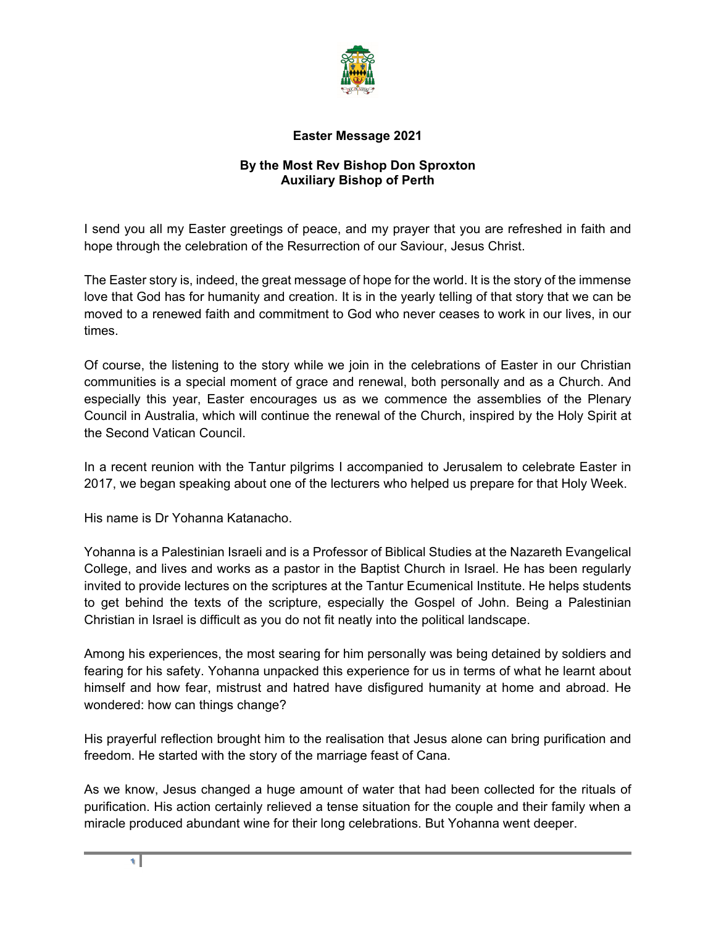

## **Easter Message 2021**

## **By the Most Rev Bishop Don Sproxton Auxiliary Bishop of Perth**

I send you all my Easter greetings of peace, and my prayer that you are refreshed in faith and hope through the celebration of the Resurrection of our Saviour, Jesus Christ.

The Easter story is, indeed, the great message of hope for the world. It is the story of the immense love that God has for humanity and creation. It is in the yearly telling of that story that we can be moved to a renewed faith and commitment to God who never ceases to work in our lives, in our times.

Of course, the listening to the story while we join in the celebrations of Easter in our Christian communities is a special moment of grace and renewal, both personally and as a Church. And especially this year, Easter encourages us as we commence the assemblies of the Plenary Council in Australia, which will continue the renewal of the Church, inspired by the Holy Spirit at the Second Vatican Council.

In a recent reunion with the Tantur pilgrims I accompanied to Jerusalem to celebrate Easter in 2017, we began speaking about one of the lecturers who helped us prepare for that Holy Week.

His name is Dr Yohanna Katanacho.

Yohanna is a Palestinian Israeli and is a Professor of Biblical Studies at the Nazareth Evangelical College, and lives and works as a pastor in the Baptist Church in Israel. He has been regularly invited to provide lectures on the scriptures at the Tantur Ecumenical Institute. He helps students to get behind the texts of the scripture, especially the Gospel of John. Being a Palestinian Christian in Israel is difficult as you do not fit neatly into the political landscape.

Among his experiences, the most searing for him personally was being detained by soldiers and fearing for his safety. Yohanna unpacked this experience for us in terms of what he learnt about himself and how fear, mistrust and hatred have disfigured humanity at home and abroad. He wondered: how can things change?

His prayerful reflection brought him to the realisation that Jesus alone can bring purification and freedom. He started with the story of the marriage feast of Cana.

As we know, Jesus changed a huge amount of water that had been collected for the rituals of purification. His action certainly relieved a tense situation for the couple and their family when a miracle produced abundant wine for their long celebrations. But Yohanna went deeper.